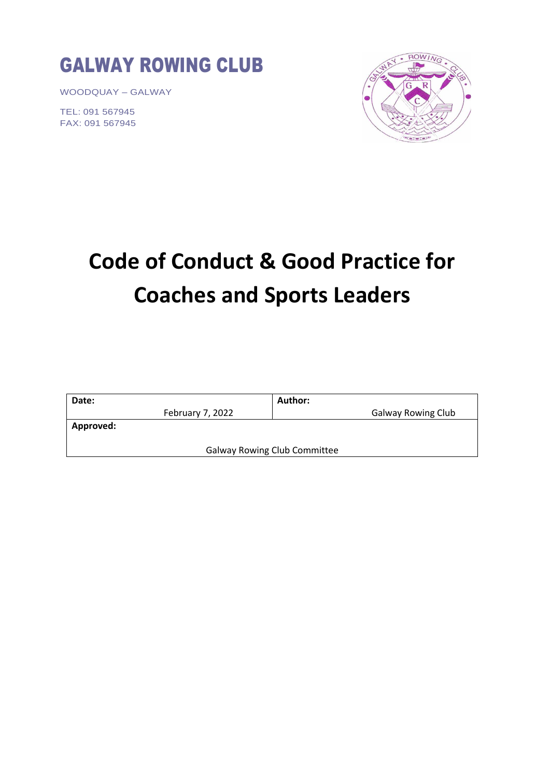

WOODQUAY – GALWAY

TEL: 091 567945 FAX: 091 567945



# **Code of Conduct & Good Practice for Coaches and Sports Leaders**

| Date:                               | Author:                   |
|-------------------------------------|---------------------------|
| February 7, 2022                    | <b>Galway Rowing Club</b> |
| <b>Approved:</b>                    |                           |
|                                     |                           |
| <b>Galway Rowing Club Committee</b> |                           |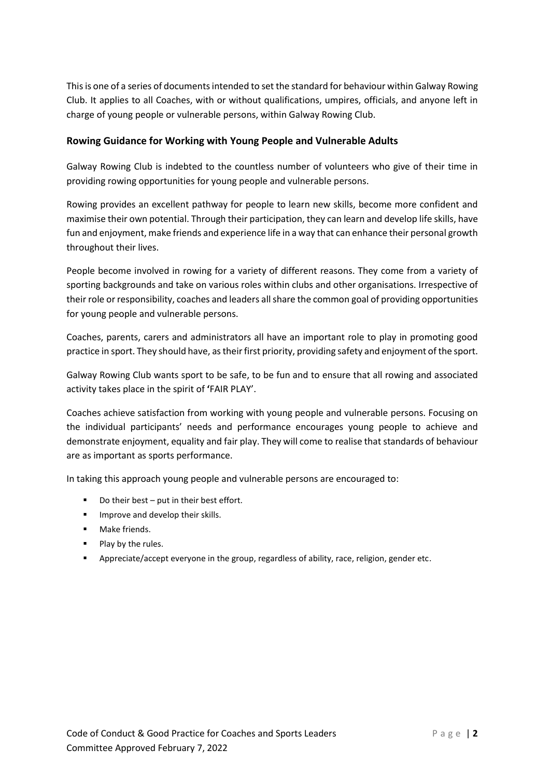This is one of a series of documents intended to set the standard for behaviour within Galway Rowing Club. It applies to all Coaches, with or without qualifications, umpires, officials, and anyone left in charge of young people or vulnerable persons, within Galway Rowing Club.

# **Rowing Guidance for Working with Young People and Vulnerable Adults**

Galway Rowing Club is indebted to the countless number of volunteers who give of their time in providing rowing opportunities for young people and vulnerable persons.

Rowing provides an excellent pathway for people to learn new skills, become more confident and maximise their own potential. Through their participation, they can learn and develop life skills, have fun and enjoyment, make friends and experience life in a way that can enhance their personal growth throughout their lives.

People become involved in rowing for a variety of different reasons. They come from a variety of sporting backgrounds and take on various roles within clubs and other organisations. Irrespective of their role or responsibility, coaches and leaders all share the common goal of providing opportunities for young people and vulnerable persons.

Coaches, parents, carers and administrators all have an important role to play in promoting good practice in sport. They should have, as their first priority, providing safety and enjoyment of the sport.

Galway Rowing Club wants sport to be safe, to be fun and to ensure that all rowing and associated activity takes place in the spirit of **'**FAIR PLAY'.

Coaches achieve satisfaction from working with young people and vulnerable persons. Focusing on the individual participants' needs and performance encourages young people to achieve and demonstrate enjoyment, equality and fair play. They will come to realise that standards of behaviour are as important as sports performance.

In taking this approach young people and vulnerable persons are encouraged to:

- Do their best put in their best effort.
- Improve and develop their skills.
- Make friends.
- Play by the rules.
- Appreciate/accept everyone in the group, regardless of ability, race, religion, gender etc.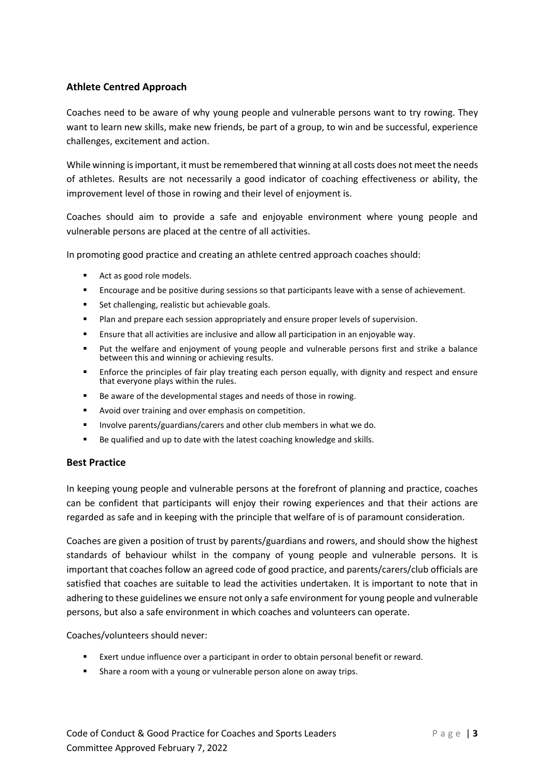# **Athlete Centred Approach**

Coaches need to be aware of why young people and vulnerable persons want to try rowing. They want to learn new skills, make new friends, be part of a group, to win and be successful, experience challenges, excitement and action.

While winning is important, it must be remembered that winning at all costs does not meet the needs of athletes. Results are not necessarily a good indicator of coaching effectiveness or ability, the improvement level of those in rowing and their level of enjoyment is.

Coaches should aim to provide a safe and enjoyable environment where young people and vulnerable persons are placed at the centre of all activities.

In promoting good practice and creating an athlete centred approach coaches should:

- Act as good role models.
- **EXECUTE 20** Encourage and be positive during sessions so that participants leave with a sense of achievement.
- Set challenging, realistic but achievable goals.
- Plan and prepare each session appropriately and ensure proper levels of supervision.
- Ensure that all activities are inclusive and allow all participation in an enjoyable way.
- Put the welfare and enjoyment of young people and vulnerable persons first and strike a balance between this and winning or achieving results.
- Enforce the principles of fair play treating each person equally, with dignity and respect and ensure that everyone plays within the rules.
- Be aware of the developmental stages and needs of those in rowing.
- Avoid over training and over emphasis on competition.
- Involve parents/guardians/carers and other club members in what we do.
- Be qualified and up to date with the latest coaching knowledge and skills.

### **Best Practice**

In keeping young people and vulnerable persons at the forefront of planning and practice, coaches can be confident that participants will enjoy their rowing experiences and that their actions are regarded as safe and in keeping with the principle that welfare of is of paramount consideration.

Coaches are given a position of trust by parents/guardians and rowers, and should show the highest standards of behaviour whilst in the company of young people and vulnerable persons. It is important that coaches follow an agreed code of good practice, and parents/carers/club officials are satisfied that coaches are suitable to lead the activities undertaken. It is important to note that in adhering to these guidelines we ensure not only a safe environment for young people and vulnerable persons, but also a safe environment in which coaches and volunteers can operate.

Coaches/volunteers should never:

- Exert undue influence over a participant in order to obtain personal benefit or reward.
- Share a room with a young or vulnerable person alone on away trips.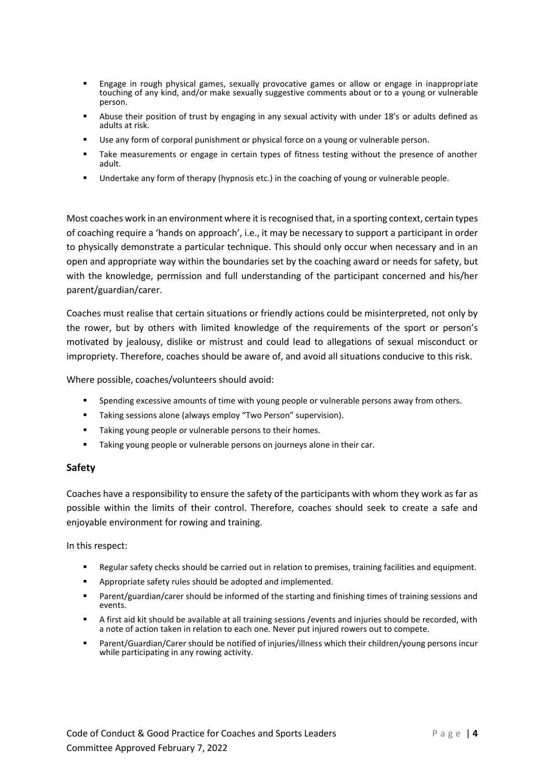- Engage in rough physical games, sexually provocative games or allow or engage in inappropriate touching of any kind, and/or make sexually suggestive comments about or to a young or vulnerable person.
- Abuse their position of trust by engaging in any sexual activity with under 18's or adults defined as adults at risk.
- Use any form of corporal punishment or physical force on a young or vulnerable person.
- **■** Take measurements or engage in certain types of fitness testing without the presence of another adult.
- Undertake any form of therapy (hypnosis etc.) in the coaching of young or vulnerable people.

Most coaches work in an environment where it is recognised that, in a sporting context, certain types of coaching require a 'hands on approach', i.e., it may be necessary to support a participant in order to physically demonstrate a particular technique. This should only occur when necessary and in an open and appropriate way within the boundaries set by the coaching award or needs for safety, but with the knowledge, permission and full understanding of the participant concerned and his/her parent/guardian/carer.

Coaches must realise that certain situations or friendly actions could be misinterpreted, not only by the rower, but by others with limited knowledge of the requirements of the sport or person's motivated by jealousy, dislike or mistrust and could lead to allegations of sexual misconduct or impropriety. Therefore, coaches should be aware of, and avoid all situations conducive to this risk.

Where possible, coaches/volunteers should avoid:

- **•** Spending excessive amounts of time with young people or vulnerable persons away from others.
- Taking sessions alone (always employ "Two Person" supervision).
- Taking young people or vulnerable persons to their homes.
- Taking young people or vulnerable persons on journeys alone in their car.

#### **Safety**

Coaches have a responsibility to ensure the safety of the participants with whom they work as far as possible within the limits of their control. Therefore, coaches should seek to create a safe and enjoyable environment for rowing and training.

In this respect:

- Regular safety checks should be carried out in relation to premises, training facilities and equipment.
- Appropriate safety rules should be adopted and implemented.
- Parent/guardian/carer should be informed of the starting and finishing times of training sessions and events.
- A first aid kit should be available at all training sessions /events and injuries should be recorded, with a note of action taken in relation to each one. Never put injured rowers out to compete.
- Parent/Guardian/Carer should be notified of injuries/illness which their children/young persons incur while participating in any rowing activity.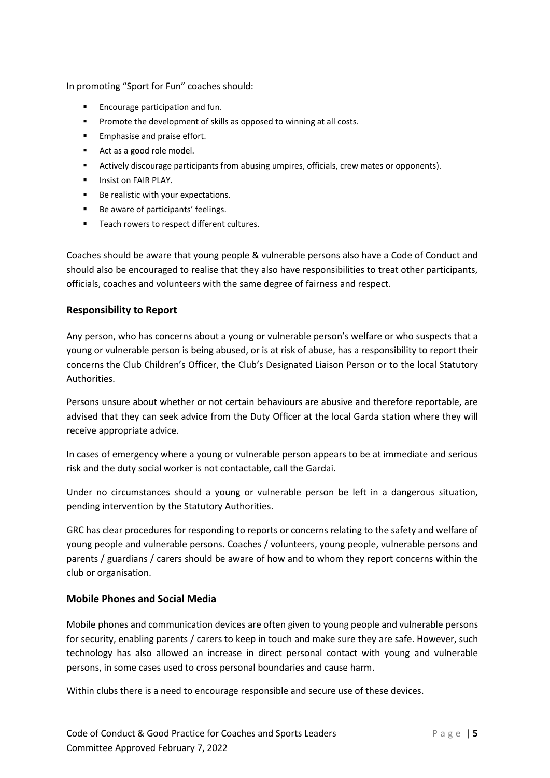In promoting "Sport for Fun" coaches should:

- Encourage participation and fun.
- Promote the development of skills as opposed to winning at all costs.
- Emphasise and praise effort.
- Act as a good role model.
- **E** Actively discourage participants from abusing umpires, officials, crew mates or opponents).
- **■** Insist on FAIR PLAY.
- Be realistic with your expectations.
- Be aware of participants' feelings.
- Teach rowers to respect different cultures.

Coaches should be aware that young people & vulnerable persons also have a Code of Conduct and should also be encouraged to realise that they also have responsibilities to treat other participants, officials, coaches and volunteers with the same degree of fairness and respect.

#### **Responsibility to Report**

Any person, who has concerns about a young or vulnerable person's welfare or who suspects that a young or vulnerable person is being abused, or is at risk of abuse, has a responsibility to report their concerns the Club Children's Officer, the Club's Designated Liaison Person or to the local Statutory Authorities.

Persons unsure about whether or not certain behaviours are abusive and therefore reportable, are advised that they can seek advice from the Duty Officer at the local Garda station where they will receive appropriate advice.

In cases of emergency where a young or vulnerable person appears to be at immediate and serious risk and the duty social worker is not contactable, call the Gardai.

Under no circumstances should a young or vulnerable person be left in a dangerous situation, pending intervention by the Statutory Authorities.

GRC has clear procedures for responding to reports or concerns relating to the safety and welfare of young people and vulnerable persons. Coaches / volunteers, young people, vulnerable persons and parents / guardians / carers should be aware of how and to whom they report concerns within the club or organisation.

### **Mobile Phones and Social Media**

Mobile phones and communication devices are often given to young people and vulnerable persons for security, enabling parents / carers to keep in touch and make sure they are safe. However, such technology has also allowed an increase in direct personal contact with young and vulnerable persons, in some cases used to cross personal boundaries and cause harm.

Within clubs there is a need to encourage responsible and secure use of these devices.